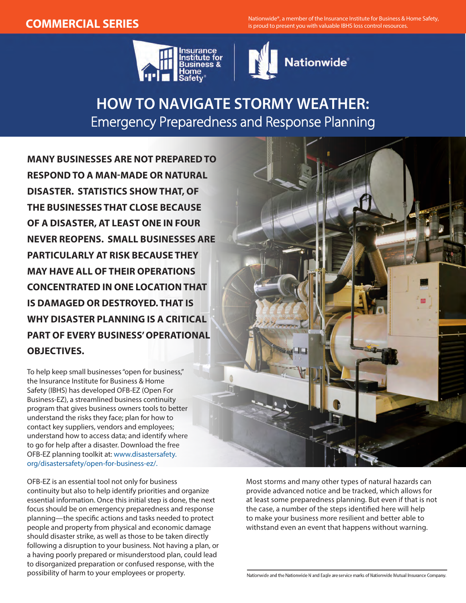**COMMERCIAL SERIES** Nationwide®, a member of the Insurance Institute for Business & Home Safety, is proud to present you with valuable IBHS loss control resources.





## **HOW TO NAVIGATE STORMY WEATHER:** Emergency Preparedness and Response Planning

**MANY BUSINESSES ARE NOT PREPARED TO RESPOND TO A MAN-MADE OR NATURAL DISASTER. STATISTICS SHOW THAT, OF THE BUSINESSES THAT CLOSE BECAUSE OF A DISASTER, AT LEAST ONE IN FOUR NEVER REOPENS. SMALL BUSINESSES ARE PARTICULARLY AT RISK BECAUSE THEY MAY HAVE ALL OF THEIR OPERATIONS CONCENTRATED IN ONE LOCATION THAT IS DAMAGED OR DESTROYED. THAT IS WHY DISASTER PLANNING IS A CRITICAL PART OF EVERY BUSINESS' OPERATIONAL OBJECTIVES.**

To help keep small businesses "open for business," the Insurance Institute for Business & Home Safety (IBHS) has developed OFB-EZ (Open For Business-EZ), a streamlined business continuity program that gives business owners tools to better understand the risks they face; plan for how to contact key suppliers, vendors and employees; understand how to access data; and identify where to go for help after a disaster. Download the free OFB-EZ planning toolkit at: [www.disastersafety.](www.disastersafety.org/disastersafety/open-for-business-ez/.) [org/disastersafety/open-for-business-ez/.](www.disastersafety.org/disastersafety/open-for-business-ez/.)

OFB-EZ is an essential tool not only for business continuity but also to help identify priorities and organize essential information. Once this initial step is done, the next focus should be on emergency preparedness and response planning—the specific actions and tasks needed to protect people and property from physical and economic damage should disaster strike, as well as those to be taken directly following a disruption to your business. Not having a plan, or a having poorly prepared or misunderstood plan, could lead to disorganized preparation or confused response, with the possibility of harm to your employees or property.

Most storms and many other types of natural hazards can provide advanced notice and be tracked, which allows for at least some preparedness planning. But even if that is not the case, a number of the steps identified here will help to make your business more resilient and better able to withstand even an event that happens without warning.

Nationwide and the Nationwide N and Eagle are service marks of Nationwide Mutual Insurance Company.

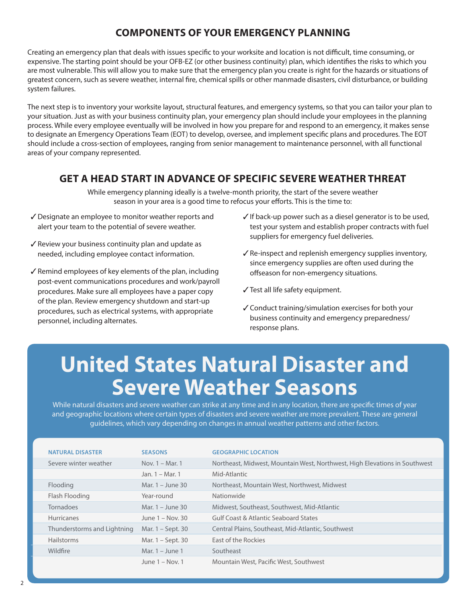### **COMPONENTS OF YOUR EMERGENCY PLANNING**

Creating an emergency plan that deals with issues specific to your worksite and location is not difficult, time consuming, or expensive. The starting point should be your OFB-EZ (or other business continuity) plan, which identifies the risks to which you are most vulnerable. This will allow you to make sure that the emergency plan you create is right for the hazards or situations of greatest concern, such as severe weather, internal fire, chemical spills or other manmade disasters, civil disturbance, or building system failures.

The next step is to inventory your worksite layout, structural features, and emergency systems, so that you can tailor your plan to your situation. Just as with your business continuity plan, your emergency plan should include your employees in the planning process. While every employee eventually will be involved in how you prepare for and respond to an emergency, it makes sense to designate an Emergency Operations Team (EOT) to develop, oversee, and implement specific plans and procedures. The EOT should include a cross-section of employees, ranging from senior management to maintenance personnel, with all functional areas of your company represented.

#### **GET A HEAD START IN ADVANCE OF SPECIFIC SEVERE WEATHER THREAT**

While emergency planning ideally is a twelve-month priority, the start of the severe weather season in your area is a good time to refocus your efforts. This is the time to:

- ✓Designate an employee to monitor weather reports and alert your team to the potential of severe weather.
- ✓Review your business continuity plan and update as needed, including employee contact information.
- $\sqrt{\ }$  Remind employees of key elements of the plan, including post-event communications procedures and work/payroll procedures. Make sure all employees have a paper copy of the plan. Review emergency shutdown and start-up procedures, such as electrical systems, with appropriate personnel, including alternates.
- $\checkmark$  If back-up power such as a diesel generator is to be used, test your system and establish proper contracts with fuel suppliers for emergency fuel deliveries.
- ✓Re-inspect and replenish emergency supplies inventory, since emergency supplies are often used during the offseason for non-emergency situations.
- ✓Test all life safety equipment.
- ✓Conduct training/simulation exercises for both your business continuity and emergency preparedness/ response plans.

# **United States Natural Disaster and Severe Weather Seasons**

While natural disasters and severe weather can strike at any time and in any location, there are specific times of year and geographic locations where certain types of disasters and severe weather are more prevalent. These are general guidelines, which vary depending on changes in annual weather patterns and other factors.

| <b>NATURAL DISASTER</b>     | <b>SEASONS</b>      | <b>GEOGRAPHIC LOCATION</b>                                                 |
|-----------------------------|---------------------|----------------------------------------------------------------------------|
|                             |                     |                                                                            |
| Severe winter weather       | Nov. 1 - Mar. 1     | Northeast, Midwest, Mountain West, Northwest, High Elevations in Southwest |
|                             | Jan. 1 - Mar. 1     | Mid-Atlantic                                                               |
| Flooding                    | Mar. $1 -$ June 30  | Northeast, Mountain West, Northwest, Midwest                               |
| Flash Flooding              | Year-round          | Nationwide                                                                 |
| Tornadoes                   | Mar. 1 - June 30    | Midwest, Southeast, Southwest, Mid-Atlantic                                |
| <b>Hurricanes</b>           | $l$ une 1 – Nov. 30 | Gulf Coast & Atlantic Seaboard States                                      |
| Thunderstorms and Lightning | Mar. 1 – Sept. 30   | Central Plains, Southeast, Mid-Atlantic, Southwest                         |
| Hailstorms                  | Mar. 1 – Sept. 30   | East of the Rockies                                                        |
| Wildfire                    | Mar. $1 -$ June 1   | Southeast                                                                  |
|                             | June $1 -$ Nov. 1   | Mountain West, Pacific West, Southwest                                     |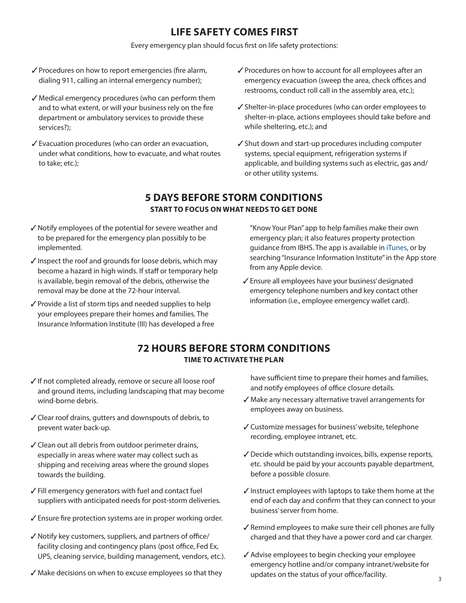#### **LIFE SAFETY COMES FIRST**

Every emergency plan should focus first on life safety protections:

- ✓Procedures on how to report emergencies (fire alarm, dialing 911, calling an internal emergency number);
- ✓ Medical emergency procedures (who can perform them and to what extent, or will your business rely on the fire department or ambulatory services to provide these services?);
- ✓Evacuation procedures (who can order an evacuation, under what conditions, how to evacuate, and what routes to take; etc.);
- ✓Procedures on how to account for all employees after an emergency evacuation (sweep the area, check offices and restrooms, conduct roll call in the assembly area, etc.);
- ✓Shelter-in-place procedures (who can order employees to shelter-in-place, actions employees should take before and while sheltering, etc.); and
- ✓Shut down and start-up procedures including computer systems, special equipment, refrigeration systems if applicable, and building systems such as electric, gas and/ or other utility systems.

#### **5 DAYS BEFORE STORM CONDITIONS START TO FOCUS ON WHAT NEEDS TO GET DONE**

- ✓Notify employees of the potential for severe weather and to be prepared for the emergency plan possibly to be implemented.
- $\sqrt{}$  Inspect the roof and grounds for loose debris, which may become a hazard in high winds. If staff or temporary help is available, begin removal of the debris, otherwise the removal may be done at the 72-hour interval.
- $\sqrt{\ }$  Provide a list of storm tips and needed supplies to help your employees prepare their homes and families. The Insurance Information Institute (III) has developed a free

"Know Your Plan" app to help families make their own emergency plan; it also features property protection guidance from IBHS. The app is available in [iTunes,](https://itunes.apple.com/us/app/your-plan/id537737839?mt=8) or by searching "Insurance Information Institute" in the App store from any Apple device.

✓Ensure all employees have your business' designated emergency telephone numbers and key contact other information (i.e., employee emergency wallet card).

#### **72 HOURS BEFORE STORM CONDITIONS TIME TO ACTIVATE THE PLAN**

- ✓If not completed already, remove or secure all loose roof and ground items, including landscaping that may become wind-borne debris.
- ✓Clear roof drains, gutters and downspouts of debris, to prevent water back-up.
- ✓Clean out all debris from outdoor perimeter drains, especially in areas where water may collect such as shipping and receiving areas where the ground slopes towards the building.
- ✓Fill emergency generators with fuel and contact fuel suppliers with anticipated needs for post-storm deliveries.
- ✓Ensure fire protection systems are in proper working order.
- ✓Notify key customers, suppliers, and partners of office/ facility closing and contingency plans (post office, Fed Ex, UPS, cleaning service, building management, vendors, etc.).
- ✓ Make decisions on when to excuse employees so that they

have sufficient time to prepare their homes and families, and notify employees of office closure details.

- ✓ Make any necessary alternative travel arrangements for employees away on business.
- ✓Customize messages for business' website, telephone recording, employee intranet, etc.
- ✓Decide which outstanding invoices, bills, expense reports, etc. should be paid by your accounts payable department, before a possible closure.
- ✓Instruct employees with laptops to take them home at the end of each day and confirm that they can connect to your business' server from home.
- ✓Remind employees to make sure their cell phones are fully charged and that they have a power cord and car charger.
- ✓Advise employees to begin checking your employee emergency hotline and/or company intranet/website for updates on the status of your office/facility.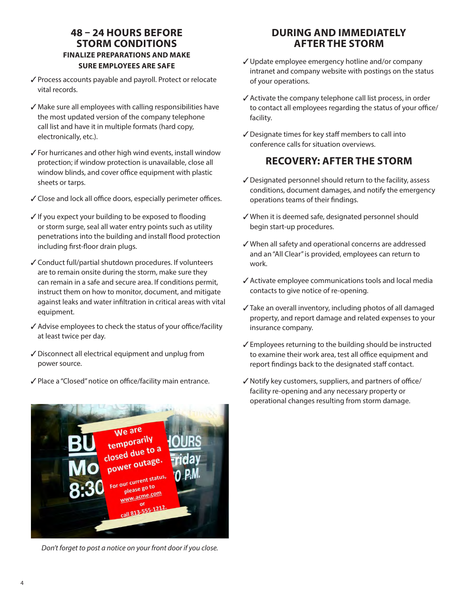#### **48 – 24 HOURS BEFORE STORM CONDITIONS FINALIZE PREPARATIONS AND MAKE SURE EMPLOYEES ARE SAFE**

- ✓Process accounts payable and payroll. Protect or relocate vital records.
- ✓ Make sure all employees with calling responsibilities have the most updated version of the company telephone call list and have it in multiple formats (hard copy, electronically, etc.).
- ✓For hurricanes and other high wind events, install window protection; if window protection is unavailable, close all window blinds, and cover office equipment with plastic sheets or tarps.
- ✓Close and lock all office doors, especially perimeter offices.
- ✓If you expect your building to be exposed to flooding or storm surge, seal all water entry points such as utility penetrations into the building and install flood protection including first-floor drain plugs.
- ✓Conduct full/partial shutdown procedures. If volunteers are to remain onsite during the storm, make sure they can remain in a safe and secure area. If conditions permit, instruct them on how to monitor, document, and mitigate against leaks and water infiltration in critical areas with vital equipment.
- ✓Advise employees to check the status of your office/facility at least twice per day.
- ✓Disconnect all electrical equipment and unplug from power source.
- ✓Place a "Closed" notice on office/facility main entrance.



*Don't forget to post a notice on your front door if you close.*

#### **DURING AND IMMEDIATELY AFTER THE STORM**

- ✓Update employee emergency hotline and/or company intranet and company website with postings on the status of your operations.
- ✓Activate the company telephone call list process, in order to contact all employees regarding the status of your office/ facility.
- ✓Designate times for key staff members to call into conference calls for situation overviews.

#### **RECOVERY: AFTER THE STORM**

- ✓Designated personnel should return to the facility, assess conditions, document damages, and notify the emergency operations teams of their findings.
- ✓ When it is deemed safe, designated personnel should begin start-up procedures.
- ✓ When all safety and operational concerns are addressed and an "All Clear" is provided, employees can return to work.
- ✓Activate employee communications tools and local media contacts to give notice of re-opening.
- ✓Take an overall inventory, including photos of all damaged property, and report damage and related expenses to your insurance company.
- ✓Employees returning to the building should be instructed to examine their work area, test all office equipment and report findings back to the designated staff contact.
- ✓Notify key customers, suppliers, and partners of office/ facility re-opening and any necessary property or operational changes resulting from storm damage.